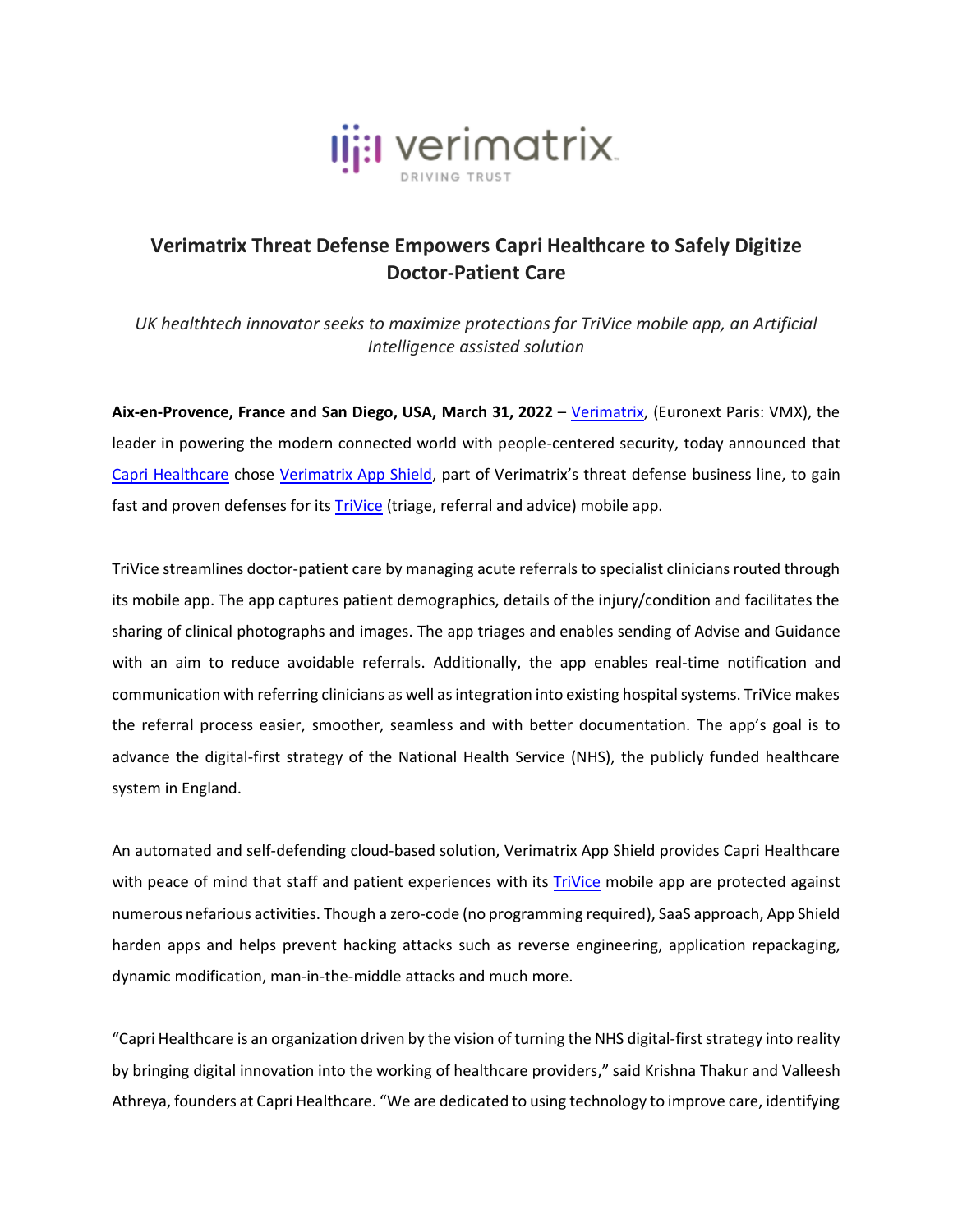

## **Verimatrix Threat Defense Empowers Capri Healthcare to Safely Digitize Doctor-Patient Care**

*UK healthtech innovator seeks to maximize protections for TriVice mobile app, an Artificial Intelligence assisted solution*

**Aix-en-Provence, France and San Diego, USA, March 31, 2022** – [Verimatrix,](http://www.verimatrix.com/) (Euronext Paris: VMX), the leader in powering the modern connected world with people-centered security, today announced that [Capri Healthcare](https://www.caprihealthcare.co.uk/) chose [Verimatrix App Shield](https://www.verimatrix.com/products/app-shield/), part of Verimatrix's threat defense business line, to gain fast and proven defenses for its [TriVice](https://caprihealthcare.co.uk/product/trivice/) (triage, referral and advice) mobile app.

TriVice streamlines doctor-patient care by managing acute referrals to specialist clinicians routed through its mobile app. The app captures patient demographics, details of the injury/condition and facilitates the sharing of clinical photographs and images. The app triages and enables sending of Advise and Guidance with an aim to reduce avoidable referrals. Additionally, the app enables real-time notification and communication with referring clinicians as well as integration into existing hospital systems. TriVice makes the referral process easier, smoother, seamless and with better documentation. The app's goal is to advance the digital-first strategy of the National Health Service (NHS), the publicly funded healthcare system in England.

An automated and self-defending cloud-based solution, Verimatrix App Shield provides Capri Healthcare with peace of mind that staff and patient experiences with its [TriVice](https://caprihealthcare.co.uk/product/trivice/) mobile app are protected against numerous nefarious activities. Though a zero-code (no programming required), SaaS approach, App Shield harden apps and helps prevent hacking attacks such as reverse engineering, application repackaging, dynamic modification, man-in-the-middle attacks and much more.

"Capri Healthcare is an organization driven by the vision of turning the NHS digital-first strategy into reality by bringing digital innovation into the working of healthcare providers," said Krishna Thakur and Valleesh Athreya, founders at Capri Healthcare. "We are dedicated to using technology to improve care, identifying